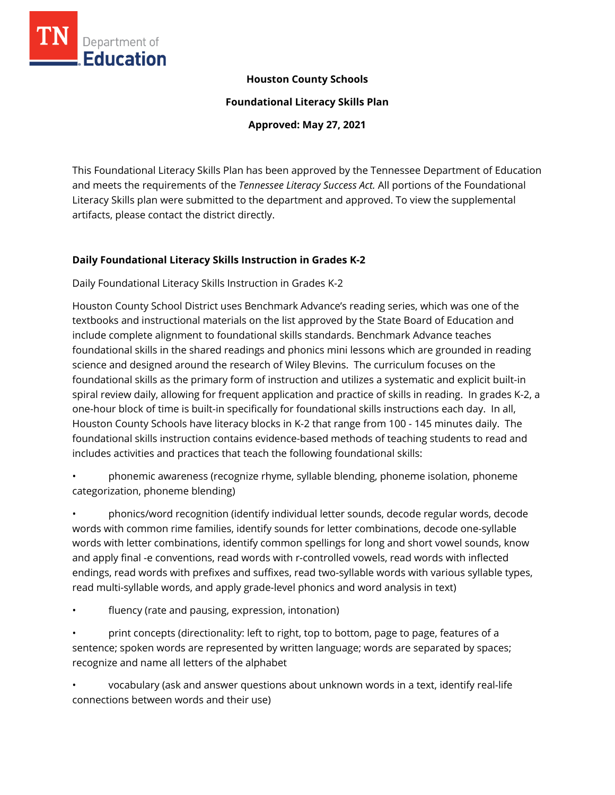

#### **Houston County Schools**

**Foundational Literacy Skills Plan**

**Approved: May 27, 2021**

This Foundational Literacy Skills Plan has been approved by the Tennessee Department of Education and meets the requirements of the *Tennessee Literacy Success Act.* All portions of the Foundational Literacy Skills plan were submitted to the department and approved. To view the supplemental artifacts, please contact the district directly.

#### **Daily Foundational Literacy Skills Instruction in Grades K-2**

Daily Foundational Literacy Skills Instruction in Grades K-2

Houston County School District uses Benchmark Advance's reading series, which was one of the textbooks and instructional materials on the list approved by the State Board of Education and include complete alignment to foundational skills standards. Benchmark Advance teaches foundational skills in the shared readings and phonics mini lessons which are grounded in reading science and designed around the research of Wiley Blevins. The curriculum focuses on the foundational skills as the primary form of instruction and utilizes a systematic and explicit built-in spiral review daily, allowing for frequent application and practice of skills in reading. In grades K-2, a one-hour block of time is built-in specifically for foundational skills instructions each day. In all, Houston County Schools have literacy blocks in K-2 that range from 100 - 145 minutes daily. The foundational skills instruction contains evidence-based methods of teaching students to read and includes activities and practices that teach the following foundational skills:

• phonemic awareness (recognize rhyme, syllable blending, phoneme isolation, phoneme categorization, phoneme blending)

• phonics/word recognition (identify individual letter sounds, decode regular words, decode words with common rime families, identify sounds for letter combinations, decode one-syllable words with letter combinations, identify common spellings for long and short vowel sounds, know and apply final -e conventions, read words with r-controlled vowels, read words with inflected endings, read words with prefixes and suffixes, read two-syllable words with various syllable types, read multi-syllable words, and apply grade-level phonics and word analysis in text)

fluency (rate and pausing, expression, intonation)

• print concepts (directionality: left to right, top to bottom, page to page, features of a sentence; spoken words are represented by written language; words are separated by spaces; recognize and name all letters of the alphabet

• vocabulary (ask and answer questions about unknown words in a text, identify real-life connections between words and their use)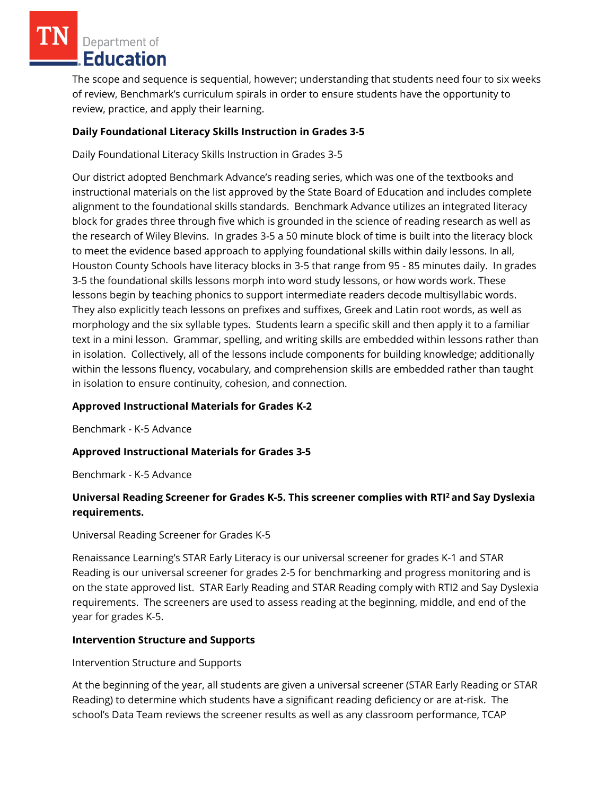Department of Education

The scope and sequence is sequential, however; understanding that students need four to six weeks of review, Benchmark's curriculum spirals in order to ensure students have the opportunity to review, practice, and apply their learning.

## **Daily Foundational Literacy Skills Instruction in Grades 3-5**

Daily Foundational Literacy Skills Instruction in Grades 3-5

Our district adopted Benchmark Advance's reading series, which was one of the textbooks and instructional materials on the list approved by the State Board of Education and includes complete alignment to the foundational skills standards. Benchmark Advance utilizes an integrated literacy block for grades three through five which is grounded in the science of reading research as well as the research of Wiley Blevins. In grades 3-5 a 50 minute block of time is built into the literacy block to meet the evidence based approach to applying foundational skills within daily lessons. In all, Houston County Schools have literacy blocks in 3-5 that range from 95 - 85 minutes daily. In grades 3-5 the foundational skills lessons morph into word study lessons, or how words work. These lessons begin by teaching phonics to support intermediate readers decode multisyllabic words. They also explicitly teach lessons on prefixes and suffixes, Greek and Latin root words, as well as morphology and the six syllable types. Students learn a specific skill and then apply it to a familiar text in a mini lesson. Grammar, spelling, and writing skills are embedded within lessons rather than in isolation. Collectively, all of the lessons include components for building knowledge; additionally within the lessons fluency, vocabulary, and comprehension skills are embedded rather than taught in isolation to ensure continuity, cohesion, and connection.

## **Approved Instructional Materials for Grades K-2**

Benchmark - K-5 Advance

## **Approved Instructional Materials for Grades 3-5**

Benchmark - K-5 Advance

## **Universal Reading Screener for Grades K-5. This screener complies with RTI<sup>2</sup>and Say Dyslexia requirements.**

Universal Reading Screener for Grades K-5

Renaissance Learning's STAR Early Literacy is our universal screener for grades K-1 and STAR Reading is our universal screener for grades 2-5 for benchmarking and progress monitoring and is on the state approved list. STAR Early Reading and STAR Reading comply with RTI2 and Say Dyslexia requirements. The screeners are used to assess reading at the beginning, middle, and end of the year for grades K-5.

## **Intervention Structure and Supports**

Intervention Structure and Supports

At the beginning of the year, all students are given a universal screener (STAR Early Reading or STAR Reading) to determine which students have a significant reading deficiency or are at-risk. The school's Data Team reviews the screener results as well as any classroom performance, TCAP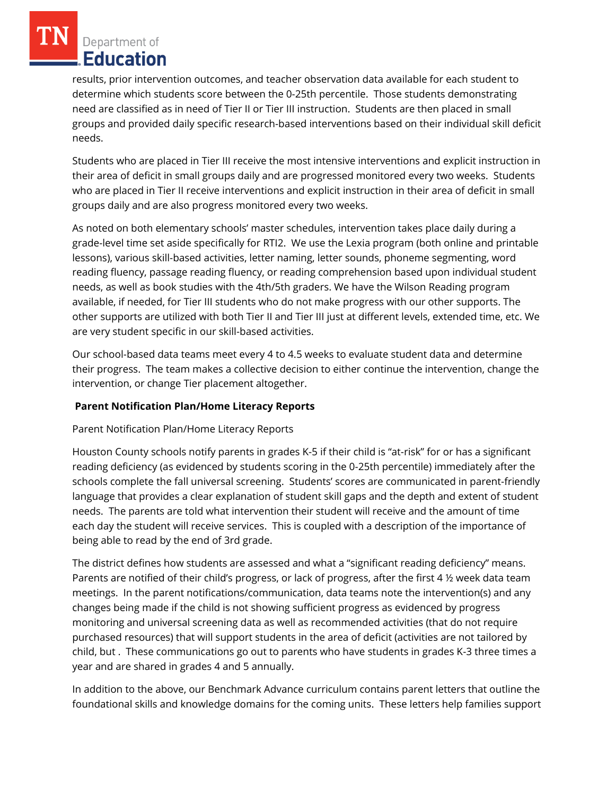Department of Education

results, prior intervention outcomes, and teacher observation data available for each student to determine which students score between the 0-25th percentile. Those students demonstrating need are classified as in need of Tier II or Tier III instruction. Students are then placed in small groups and provided daily specific research-based interventions based on their individual skill deficit needs.

Students who are placed in Tier III receive the most intensive interventions and explicit instruction in their area of deficit in small groups daily and are progressed monitored every two weeks. Students who are placed in Tier II receive interventions and explicit instruction in their area of deficit in small groups daily and are also progress monitored every two weeks.

As noted on both elementary schools' master schedules, intervention takes place daily during a grade-level time set aside specifically for RTI2. We use the Lexia program (both online and printable lessons), various skill-based activities, letter naming, letter sounds, phoneme segmenting, word reading fluency, passage reading fluency, or reading comprehension based upon individual student needs, as well as book studies with the 4th/5th graders. We have the Wilson Reading program available, if needed, for Tier III students who do not make progress with our other supports. The other supports are utilized with both Tier II and Tier III just at different levels, extended time, etc. We are very student specific in our skill-based activities.

Our school-based data teams meet every 4 to 4.5 weeks to evaluate student data and determine their progress. The team makes a collective decision to either continue the intervention, change the intervention, or change Tier placement altogether.

## **Parent Notification Plan/Home Literacy Reports**

#### Parent Notification Plan/Home Literacy Reports

Houston County schools notify parents in grades K-5 if their child is "at-risk" for or has a significant reading deficiency (as evidenced by students scoring in the 0-25th percentile) immediately after the schools complete the fall universal screening. Students' scores are communicated in parent-friendly language that provides a clear explanation of student skill gaps and the depth and extent of student needs. The parents are told what intervention their student will receive and the amount of time each day the student will receive services. This is coupled with a description of the importance of being able to read by the end of 3rd grade.

The district defines how students are assessed and what a "significant reading deficiency" means. Parents are notified of their child's progress, or lack of progress, after the first 4 ½ week data team meetings. In the parent notifications/communication, data teams note the intervention(s) and any changes being made if the child is not showing sufficient progress as evidenced by progress monitoring and universal screening data as well as recommended activities (that do not require purchased resources) that will support students in the area of deficit (activities are not tailored by child, but . These communications go out to parents who have students in grades K-3 three times a year and are shared in grades 4 and 5 annually.

In addition to the above, our Benchmark Advance curriculum contains parent letters that outline the foundational skills and knowledge domains for the coming units. These letters help families support